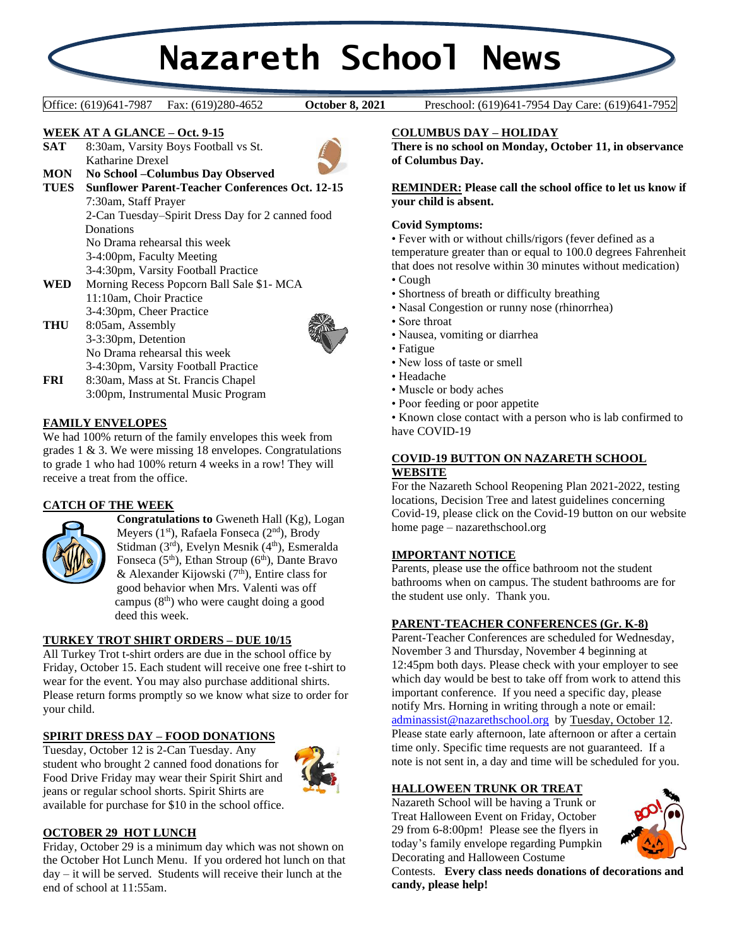# **Nazareth School News**

**October 8, 2021** 

Office: (619)641-7987 Fax: (619)280-4652 **October 8, 2021** Preschool: (619)641-7954 Day Care: (619)641-7952

#### **WEEK AT A GLANCE – Oct. 9-15**

**SAT** 8:30am, Varsity Boys Football vs St. Katharine Drexel



- **MON No School –Columbus Day Observed TUES Sunflower Parent-Teacher Conferences Oct. 12-15** 7:30am, Staff Prayer 2-Can Tuesday–Spirit Dress Day for 2 canned food **Donations** No Drama rehearsal this week 3-4:00pm, Faculty Meeting 3-4:30pm, Varsity Football Practice **WED** Morning Recess Popcorn Ball Sale \$1- MCA 11:10am, Choir Practice
- 3-4:30pm, Cheer Practice **THU** 8:05am, Assembly 3-3:30pm, Detention No Drama rehearsal this week 3-4:30pm, Varsity Football Practice



**FRI** 8:30am, Mass at St. Francis Chapel 3:00pm, Instrumental Music Program

#### **FAMILY ENVELOPES**

We had 100% return of the family envelopes this week from grades 1 & 3. We were missing 18 envelopes. Congratulations to grade 1 who had 100% return 4 weeks in a row! They will receive a treat from the office.

# **CATCH OF THE WEEK**



**Congratulations to** Gweneth Hall (Kg), Logan Meyers (1<sup>st</sup>), Rafaela Fonseca (2<sup>nd</sup>), Brody Stidman (3rd), Evelyn Mesnik (4<sup>th</sup>), Esmeralda Fonseca  $(5<sup>th</sup>)$ , Ethan Stroup  $(6<sup>th</sup>)$ , Dante Bravo & Alexander Kijowski (7<sup>th</sup>), Entire class for good behavior when Mrs. Valenti was off campus  $(8<sup>th</sup>)$  who were caught doing a good deed this week.

#### **TURKEY TROT SHIRT ORDERS – DUE 10/15**

All Turkey Trot t-shirt orders are due in the school office by Friday, October 15. Each student will receive one free t-shirt to wear for the event. You may also purchase additional shirts. Please return forms promptly so we know what size to order for your child.

# **SPIRIT DRESS DAY – FOOD DONATIONS**

Tuesday, October 12 is 2-Can Tuesday. Any student who brought 2 canned food donations for Food Drive Friday may wear their Spirit Shirt and jeans or regular school shorts. Spirit Shirts are available for purchase for \$10 in the school office.



# **OCTOBER 29 HOT LUNCH**

Friday, October 29 is a minimum day which was not shown on the October Hot Lunch Menu. If you ordered hot lunch on that day – it will be served. Students will receive their lunch at the end of school at 11:55am.

#### **COLUMBUS DAY – HOLIDAY**

**There is no school on Monday, October 11, in observance of Columbus Day.**

**REMINDER: Please call the school office to let us know if your child is absent.**

#### **Covid Symptoms:**

• Fever with or without chills/rigors (fever defined as a temperature greater than or equal to 100.0 degrees Fahrenheit that does not resolve within 30 minutes without medication)

- Cough
- Shortness of breath or difficulty breathing
- Nasal Congestion or runny nose (rhinorrhea)
- Sore throat
- Nausea, vomiting or diarrhea
- Fatigue
- New loss of taste or smell
- Headache
- Muscle or body aches
- Poor feeding or poor appetite

• Known close contact with a person who is lab confirmed to have COVID-19

#### **COVID-19 BUTTON ON NAZARETH SCHOOL WEBSITE**

For the Nazareth School Reopening Plan 2021-2022, testing locations, Decision Tree and latest guidelines concerning Covid-19, please click on the Covid-19 button on our website home page – nazarethschool.org

#### **IMPORTANT NOTICE**

Parents, please use the office bathroom not the student bathrooms when on campus. The student bathrooms are for the student use only. Thank you.

## **PARENT-TEACHER CONFERENCES (Gr. K-8)**

Parent-Teacher Conferences are scheduled for Wednesday, November 3 and Thursday, November 4 beginning at 12:45pm both days. Please check with your employer to see which day would be best to take off from work to attend this important conference. If you need a specific day, please notify Mrs. Horning in writing through a note or email: [adminassist@nazarethschool.org](mailto:adminassist@nazarethschool.org) by Tuesday, October 12. Please state early afternoon, late afternoon or after a certain time only. Specific time requests are not guaranteed. If a note is not sent in, a day and time will be scheduled for you.

#### **HALLOWEEN TRUNK OR TREAT**

Nazareth School will be having a Trunk or Treat Halloween Event on Friday, October 29 from 6-8:00pm! Please see the flyers in today's family envelope regarding Pumpkin Decorating and Halloween Costume



Contests. **Every class needs donations of decorations and candy, please help!**